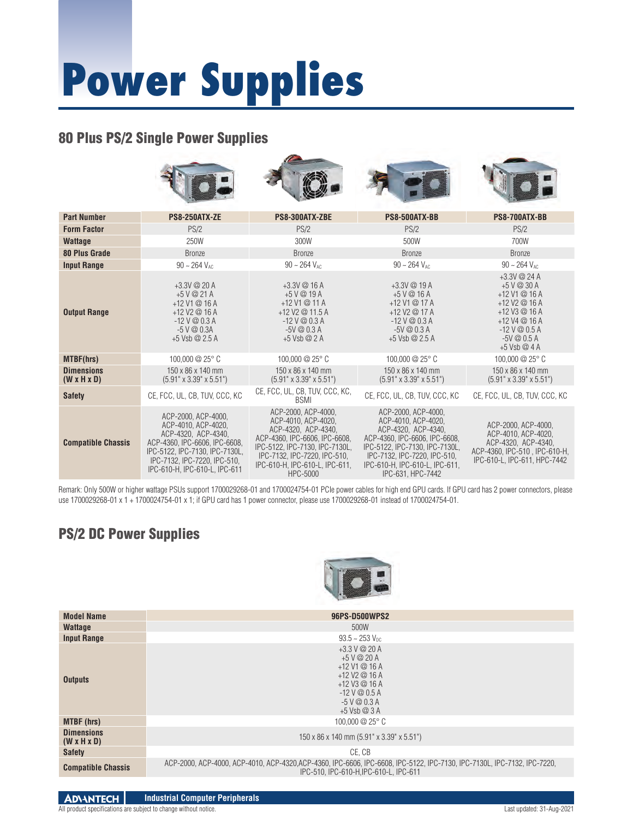# **Power Supplies**

#### 80 Plus PS/2 Single Power Supplies



| <b>Part Number</b>               | <b>PS8-250ATX-ZE</b>                                                                                                                                                                                  | PS8-300ATX-ZBE                                                                                                                                                                                                     | PS8-500ATX-BB                                                                                                                                                                                                               | PS8-700ATX-BB                                                                                                                                              |
|----------------------------------|-------------------------------------------------------------------------------------------------------------------------------------------------------------------------------------------------------|--------------------------------------------------------------------------------------------------------------------------------------------------------------------------------------------------------------------|-----------------------------------------------------------------------------------------------------------------------------------------------------------------------------------------------------------------------------|------------------------------------------------------------------------------------------------------------------------------------------------------------|
| <b>Form Factor</b>               | PS/2                                                                                                                                                                                                  | PS/2                                                                                                                                                                                                               | PS/2                                                                                                                                                                                                                        | PS/2                                                                                                                                                       |
| <b>Wattage</b>                   | 250W                                                                                                                                                                                                  | 300W                                                                                                                                                                                                               | 500W                                                                                                                                                                                                                        | 700W                                                                                                                                                       |
| <b>80 Plus Grade</b>             | <b>Bronze</b>                                                                                                                                                                                         | <b>Bronze</b>                                                                                                                                                                                                      | <b>Bronze</b>                                                                                                                                                                                                               | <b>Bronze</b>                                                                                                                                              |
| <b>Input Range</b>               | $90 - 264 V_{AC}$                                                                                                                                                                                     | $90 \sim 264$ V <sub>AC</sub>                                                                                                                                                                                      | $90 - 264$ V <sub>AC</sub>                                                                                                                                                                                                  | $90 \sim 264$ V <sub>AC</sub>                                                                                                                              |
| <b>Output Range</b>              | $+3.3V$ @ 20 A<br>$+5$ V @ 21 A<br>$+12$ V1 $@$ 16 A<br>$+12$ V2 $@$ 16 A<br>$-12V@0.3A$<br>$-5$ V $@$ 0.3A<br>$+5$ Vsb $@$ 2.5 A                                                                     | $+3.3V$ @ 16 A<br>$+5$ V @ 19 A<br>+12 V1 @ 11 A<br>+12 V2 $@$ 11.5 A<br>$-12V@0.3A$<br>$-5V@0.3A$<br>$+5$ Vsb $@$ 2 A                                                                                             | $+3.3V$ @ 19 A<br>$+5$ V @ 16 A<br>+12 V1 @ 17 A<br>$+12$ V2 @ 17 A<br>$-12V@0.3A$<br>$-5V@0.3A$<br>$+5$ Vsb $@$ 2.5 A                                                                                                      | $+3.3V$ @ 24 A<br>$+5$ V @ 30 A<br>$+12$ V1 @ 16 A<br>+12 V2 $@16A$<br>$+12$ V3 @ 16 A<br>$+12$ V4 @ 16 A<br>$-12V@0.5A$<br>$-5V@0.5A$<br>$+5$ Vsb $@$ 4 A |
| MTBF(hrs)                        | 100,000 $@25°$ C                                                                                                                                                                                      | 100,000 $@25°$ C                                                                                                                                                                                                   | 100,000 $@25°$ C                                                                                                                                                                                                            | 100,000 $@25°$ C                                                                                                                                           |
| <b>Dimensions</b><br>(W x H x D) | 150 x 86 x 140 mm<br>$(5.91" \times 3.39" \times 5.51")$                                                                                                                                              | 150 x 86 x 140 mm<br>$(5.91" \times 3.39" \times 5.51")$                                                                                                                                                           | 150 x 86 x 140 mm<br>$(5.91" \times 3.39" \times 5.51")$                                                                                                                                                                    | 150 x 86 x 140 mm<br>$(5.91" \times 3.39" \times 5.51")$                                                                                                   |
| <b>Safety</b>                    | CE, FCC, UL, CB, TUV, CCC, KC                                                                                                                                                                         | CE, FCC, UL, CB, TUV, CCC, KC,<br><b>BSMI</b>                                                                                                                                                                      | CE, FCC, UL, CB, TUV, CCC, KC                                                                                                                                                                                               | CE, FCC, UL, CB, TUV, CCC, KC                                                                                                                              |
| <b>Compatible Chassis</b>        | ACP-2000, ACP-4000,<br>ACP-4010, ACP-4020,<br>ACP-4320, ACP-4340,<br>ACP-4360, IPC-6606, IPC-6608,<br>IPC-5122, IPC-7130, IPC-7130L,<br>IPC-7132, IPC-7220, IPC-510,<br>IPC-610-H, IPC-610-L, IPC-611 | ACP-2000, ACP-4000,<br>ACP-4010, ACP-4020,<br>ACP-4320, ACP-4340,<br>ACP-4360, IPC-6606, IPC-6608,<br>IPC-5122, IPC-7130, IPC-7130L,<br>IPC-7132, IPC-7220, IPC-510,<br>IPC-610-H, IPC-610-L, IPC-611,<br>HPC-5000 | ACP-2000, ACP-4000,<br>ACP-4010, ACP-4020,<br>ACP-4320, ACP-4340,<br>ACP-4360, IPC-6606, IPC-6608,<br>IPC-5122, IPC-7130, IPC-7130L,<br>IPC-7132, IPC-7220, IPC-510,<br>IPC-610-H, IPC-610-L, IPC-611,<br>IPC-631, HPC-7442 | ACP-2000, ACP-4000,<br>ACP-4010, ACP-4020,<br>ACP-4320, ACP-4340.<br>ACP-4360, IPC-510, IPC-610-H,<br>IPC-610-L, IPC-611, HPC-7442                         |

Remark: Only 500W or higher wattage PSUs support 1700029268-01 and 1700024754-01 PCIe power cables for high end GPU cards. If GPU card has 2 power connectors, please use 1700029268-01 x 1 + 1700024754-01 x 1; if GPU card has 1 power connector, please use 1700029268-01 instead of 1700024754-01.

### PS/2 DC Power Supplies



| <b>Model Name</b>                            | 96PS-D500WPS2                                                                                                                                                               |  |  |
|----------------------------------------------|-----------------------------------------------------------------------------------------------------------------------------------------------------------------------------|--|--|
| <b>Wattage</b>                               | 500W                                                                                                                                                                        |  |  |
| <b>Input Range</b>                           | $93.5 - 253$ V <sub>pc</sub>                                                                                                                                                |  |  |
| <b>Outputs</b>                               | $+3.3$ V @ 20 A<br>$+5$ V @ 20 A<br>$+12$ V1 @ 16 A<br>$+12$ V2 @ 16 A<br>$+12$ V3 @ 16 A<br>$-12$ V @ 0.5 A<br>$-5$ V $@$ 0.3 A<br>$+5$ Vsb @ 3 A                          |  |  |
| <b>MTBF</b> (hrs)                            | 100,000 $@25°$ C                                                                                                                                                            |  |  |
| <b>Dimensions</b><br>$(W \times H \times D)$ | $150 \times 86 \times 140$ mm $(5.91" \times 3.39" \times 5.51")$                                                                                                           |  |  |
| <b>Safety</b>                                | CE. CB                                                                                                                                                                      |  |  |
| <b>Compatible Chassis</b>                    | ACP-2000, ACP-4000, ACP-4010, ACP-4320,ACP-4360, IPC-6606, IPC-6608, IPC-5122, IPC-7130, IPC-7130L, IPC-7132, IPC-7122, IPC-7220,<br>IPC-510, IPC-610-H, IPC-610-L, IPC-611 |  |  |